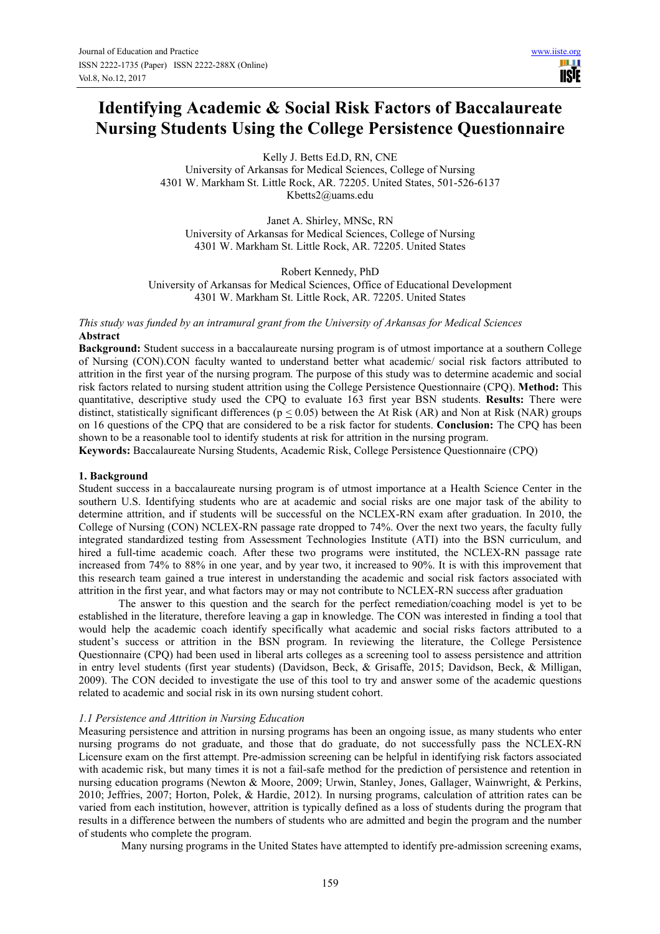# **Identifying Academic & Social Risk Factors of Baccalaureate Nursing Students Using the College Persistence Questionnaire**

Kelly J. Betts Ed.D, RN, CNE University of Arkansas for Medical Sciences, College of Nursing 4301 W. Markham St. Little Rock, AR. 72205. United States, 501-526-6137 Kbetts2@uams.edu

Janet A. Shirley, MNSc, RN University of Arkansas for Medical Sciences, College of Nursing 4301 W. Markham St. Little Rock, AR. 72205. United States

Robert Kennedy, PhD University of Arkansas for Medical Sciences, Office of Educational Development 4301 W. Markham St. Little Rock, AR. 72205. United States

*This study was funded by an intramural grant from the University of Arkansas for Medical Sciences*  **Abstract**

**Background:** Student success in a baccalaureate nursing program is of utmost importance at a southern College of Nursing (CON).CON faculty wanted to understand better what academic/ social risk factors attributed to attrition in the first year of the nursing program. The purpose of this study was to determine academic and social risk factors related to nursing student attrition using the College Persistence Questionnaire (CPQ). **Method:** This quantitative, descriptive study used the CPQ to evaluate 163 first year BSN students. **Results:** There were distinct, statistically significant differences ( $p \le 0.05$ ) between the At Risk (AR) and Non at Risk (NAR) groups on 16 questions of the CPQ that are considered to be a risk factor for students. **Conclusion:** The CPQ has been shown to be a reasonable tool to identify students at risk for attrition in the nursing program.

**Keywords:** Baccalaureate Nursing Students, Academic Risk, College Persistence Questionnaire (CPQ)

#### **1. Background**

Student success in a baccalaureate nursing program is of utmost importance at a Health Science Center in the southern U.S. Identifying students who are at academic and social risks are one major task of the ability to determine attrition, and if students will be successful on the NCLEX-RN exam after graduation. In 2010, the College of Nursing (CON) NCLEX-RN passage rate dropped to 74%. Over the next two years, the faculty fully integrated standardized testing from Assessment Technologies Institute (ATI) into the BSN curriculum, and hired a full-time academic coach. After these two programs were instituted, the NCLEX-RN passage rate increased from 74% to 88% in one year, and by year two, it increased to 90%. It is with this improvement that this research team gained a true interest in understanding the academic and social risk factors associated with attrition in the first year, and what factors may or may not contribute to NCLEX-RN success after graduation

The answer to this question and the search for the perfect remediation/coaching model is yet to be established in the literature, therefore leaving a gap in knowledge. The CON was interested in finding a tool that would help the academic coach identify specifically what academic and social risks factors attributed to a student's success or attrition in the BSN program. In reviewing the literature, the College Persistence Questionnaire (CPQ) had been used in liberal arts colleges as a screening tool to assess persistence and attrition in entry level students (first year students) (Davidson, Beck, & Grisaffe, 2015; Davidson, Beck, & Milligan, 2009). The CON decided to investigate the use of this tool to try and answer some of the academic questions related to academic and social risk in its own nursing student cohort.

#### *1.1 Persistence and Attrition in Nursing Education*

Measuring persistence and attrition in nursing programs has been an ongoing issue, as many students who enter nursing programs do not graduate, and those that do graduate, do not successfully pass the NCLEX-RN Licensure exam on the first attempt. Pre-admission screening can be helpful in identifying risk factors associated with academic risk, but many times it is not a fail-safe method for the prediction of persistence and retention in nursing education programs (Newton & Moore, 2009; Urwin, Stanley, Jones, Gallager, Wainwright, & Perkins, 2010; Jeffries, 2007; Horton, Polek, & Hardie, 2012). In nursing programs, calculation of attrition rates can be varied from each institution, however, attrition is typically defined as a loss of students during the program that results in a difference between the numbers of students who are admitted and begin the program and the number of students who complete the program.

Many nursing programs in the United States have attempted to identify pre-admission screening exams,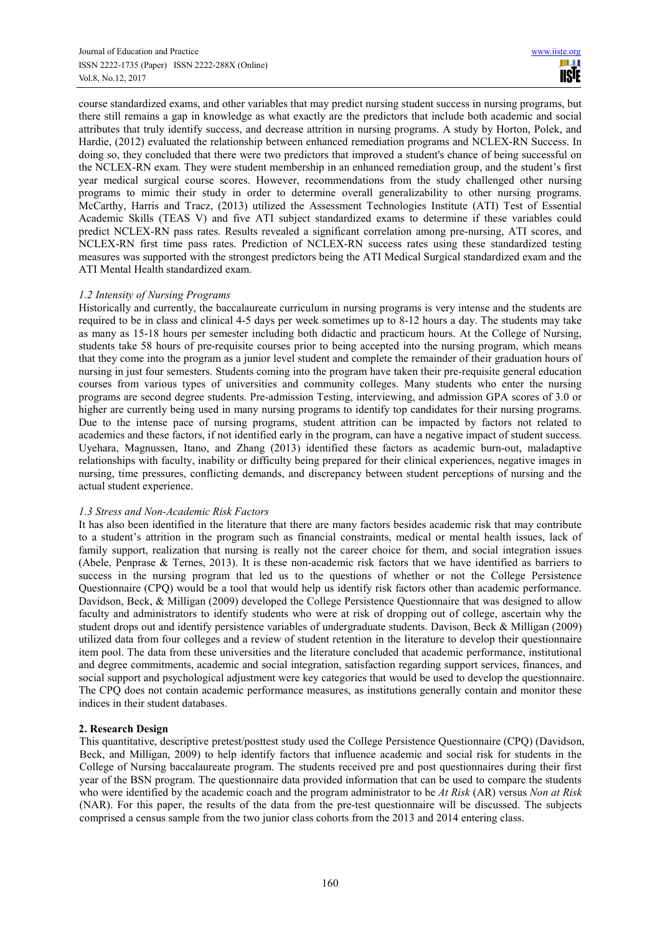course standardized exams, and other variables that may predict nursing student success in nursing programs, but there still remains a gap in knowledge as what exactly are the predictors that include both academic and social attributes that truly identify success, and decrease attrition in nursing programs. A study by Horton, Polek, and Hardie, (2012) evaluated the relationship between enhanced remediation programs and NCLEX-RN Success. In doing so, they concluded that there were two predictors that improved a student's chance of being successful on the NCLEX-RN exam. They were student membership in an enhanced remediation group, and the student's first year medical surgical course scores. However, recommendations from the study challenged other nursing programs to mimic their study in order to determine overall generalizability to other nursing programs. McCarthy, Harris and Tracz, (2013) utilized the Assessment Technologies Institute (ATI) Test of Essential Academic Skills (TEAS V) and five ATI subject standardized exams to determine if these variables could predict NCLEX-RN pass rates. Results revealed a significant correlation among pre-nursing, ATI scores, and NCLEX-RN first time pass rates. Prediction of NCLEX-RN success rates using these standardized testing measures was supported with the strongest predictors being the ATI Medical Surgical standardized exam and the ATI Mental Health standardized exam.

# *1.2 Intensity of Nursing Programs*

Historically and currently, the baccalaureate curriculum in nursing programs is very intense and the students are required to be in class and clinical 4-5 days per week sometimes up to 8-12 hours a day. The students may take as many as 15-18 hours per semester including both didactic and practicum hours. At the College of Nursing, students take 58 hours of pre-requisite courses prior to being accepted into the nursing program, which means that they come into the program as a junior level student and complete the remainder of their graduation hours of nursing in just four semesters. Students coming into the program have taken their pre-requisite general education courses from various types of universities and community colleges. Many students who enter the nursing programs are second degree students. Pre-admission Testing, interviewing, and admission GPA scores of 3.0 or higher are currently being used in many nursing programs to identify top candidates for their nursing programs. Due to the intense pace of nursing programs, student attrition can be impacted by factors not related to academics and these factors, if not identified early in the program, can have a negative impact of student success. Uyehara, Magnussen, Itano, and Zhang (2013) identified these factors as academic burn-out, maladaptive relationships with faculty, inability or difficulty being prepared for their clinical experiences, negative images in nursing, time pressures, conflicting demands, and discrepancy between student perceptions of nursing and the actual student experience.

#### *1.3 Stress and Non-Academic Risk Factors*

It has also been identified in the literature that there are many factors besides academic risk that may contribute to a student's attrition in the program such as financial constraints, medical or mental health issues, lack of family support, realization that nursing is really not the career choice for them, and social integration issues (Abele, Penprase & Ternes, 2013). It is these non-academic risk factors that we have identified as barriers to success in the nursing program that led us to the questions of whether or not the College Persistence Questionnaire (CPQ) would be a tool that would help us identify risk factors other than academic performance. Davidson, Beck, & Milligan (2009) developed the College Persistence Questionnaire that was designed to allow faculty and administrators to identify students who were at risk of dropping out of college, ascertain why the student drops out and identify persistence variables of undergraduate students. Davison, Beck & Milligan (2009) utilized data from four colleges and a review of student retention in the literature to develop their questionnaire item pool. The data from these universities and the literature concluded that academic performance, institutional and degree commitments, academic and social integration, satisfaction regarding support services, finances, and social support and psychological adjustment were key categories that would be used to develop the questionnaire. The CPQ does not contain academic performance measures, as institutions generally contain and monitor these indices in their student databases.

# **2. Research Design**

This quantitative, descriptive pretest/posttest study used the College Persistence Questionnaire (CPQ) (Davidson, Beck, and Milligan, 2009) to help identify factors that influence academic and social risk for students in the College of Nursing baccalaureate program. The students received pre and post questionnaires during their first year of the BSN program. The questionnaire data provided information that can be used to compare the students who were identified by the academic coach and the program administrator to be *At Risk* (AR) versus *Non at Risk* (NAR). For this paper, the results of the data from the pre-test questionnaire will be discussed. The subjects comprised a census sample from the two junior class cohorts from the 2013 and 2014 entering class.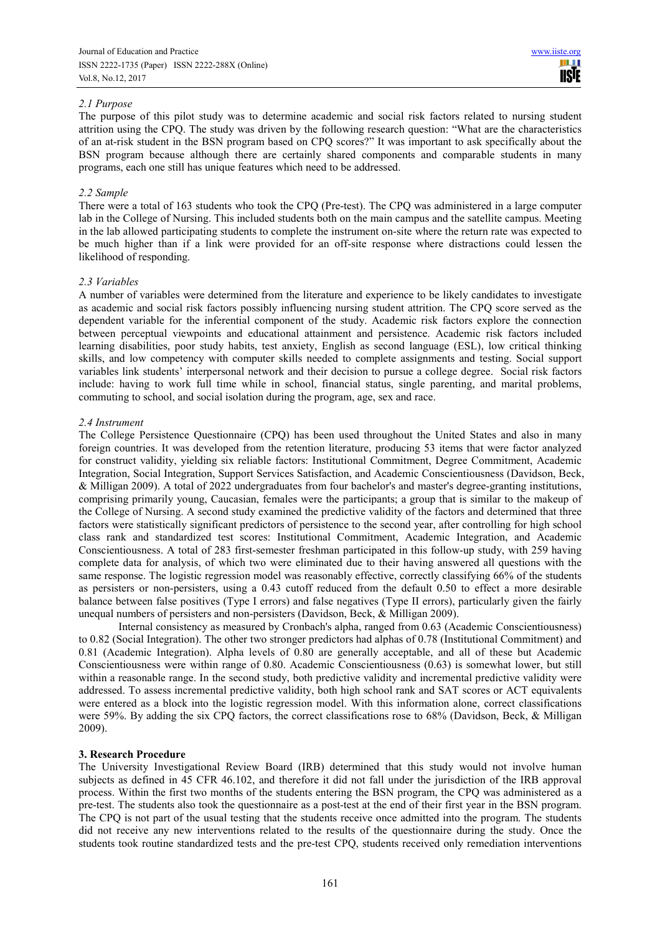## *2.1 Purpose*

The purpose of this pilot study was to determine academic and social risk factors related to nursing student attrition using the CPQ. The study was driven by the following research question: "What are the characteristics of an at-risk student in the BSN program based on CPQ scores?" It was important to ask specifically about the BSN program because although there are certainly shared components and comparable students in many programs, each one still has unique features which need to be addressed.

## *2.2 Sample*

There were a total of 163 students who took the CPQ (Pre-test). The CPQ was administered in a large computer lab in the College of Nursing. This included students both on the main campus and the satellite campus. Meeting in the lab allowed participating students to complete the instrument on-site where the return rate was expected to be much higher than if a link were provided for an off-site response where distractions could lessen the likelihood of responding.

## *2.3 Variables*

A number of variables were determined from the literature and experience to be likely candidates to investigate as academic and social risk factors possibly influencing nursing student attrition. The CPQ score served as the dependent variable for the inferential component of the study. Academic risk factors explore the connection between perceptual viewpoints and educational attainment and persistence. Academic risk factors included learning disabilities, poor study habits, test anxiety, English as second language (ESL), low critical thinking skills, and low competency with computer skills needed to complete assignments and testing. Social support variables link students' interpersonal network and their decision to pursue a college degree. Social risk factors include: having to work full time while in school, financial status, single parenting, and marital problems, commuting to school, and social isolation during the program, age, sex and race.

## *2.4 Instrument*

The College Persistence Questionnaire (CPQ) has been used throughout the United States and also in many foreign countries. It was developed from the retention literature, producing 53 items that were factor analyzed for construct validity, yielding six reliable factors: Institutional Commitment, Degree Commitment, Academic Integration, Social Integration, Support Services Satisfaction, and Academic Conscientiousness (Davidson, Beck, & Milligan 2009). A total of 2022 undergraduates from four bachelor's and master's degree-granting institutions, comprising primarily young, Caucasian, females were the participants; a group that is similar to the makeup of the College of Nursing. A second study examined the predictive validity of the factors and determined that three factors were statistically significant predictors of persistence to the second year, after controlling for high school class rank and standardized test scores: Institutional Commitment, Academic Integration, and Academic Conscientiousness. A total of 283 first-semester freshman participated in this follow-up study, with 259 having complete data for analysis, of which two were eliminated due to their having answered all questions with the same response. The logistic regression model was reasonably effective, correctly classifying 66% of the students as persisters or non-persisters, using a 0.43 cutoff reduced from the default 0.50 to effect a more desirable balance between false positives (Type I errors) and false negatives (Type II errors), particularly given the fairly unequal numbers of persisters and non-persisters (Davidson, Beck, & Milligan 2009).

Internal consistency as measured by Cronbach's alpha, ranged from 0.63 (Academic Conscientiousness) to 0.82 (Social Integration). The other two stronger predictors had alphas of 0.78 (Institutional Commitment) and 0.81 (Academic Integration). Alpha levels of 0.80 are generally acceptable, and all of these but Academic Conscientiousness were within range of 0.80. Academic Conscientiousness (0.63) is somewhat lower, but still within a reasonable range. In the second study, both predictive validity and incremental predictive validity were addressed. To assess incremental predictive validity, both high school rank and SAT scores or ACT equivalents were entered as a block into the logistic regression model. With this information alone, correct classifications were 59%. By adding the six CPQ factors, the correct classifications rose to 68% (Davidson, Beck, & Milligan 2009).

# **3. Research Procedure**

The University Investigational Review Board (IRB) determined that this study would not involve human subjects as defined in 45 CFR 46.102, and therefore it did not fall under the jurisdiction of the IRB approval process. Within the first two months of the students entering the BSN program, the CPQ was administered as a pre-test. The students also took the questionnaire as a post-test at the end of their first year in the BSN program. The CPQ is not part of the usual testing that the students receive once admitted into the program. The students did not receive any new interventions related to the results of the questionnaire during the study. Once the students took routine standardized tests and the pre-test CPQ, students received only remediation interventions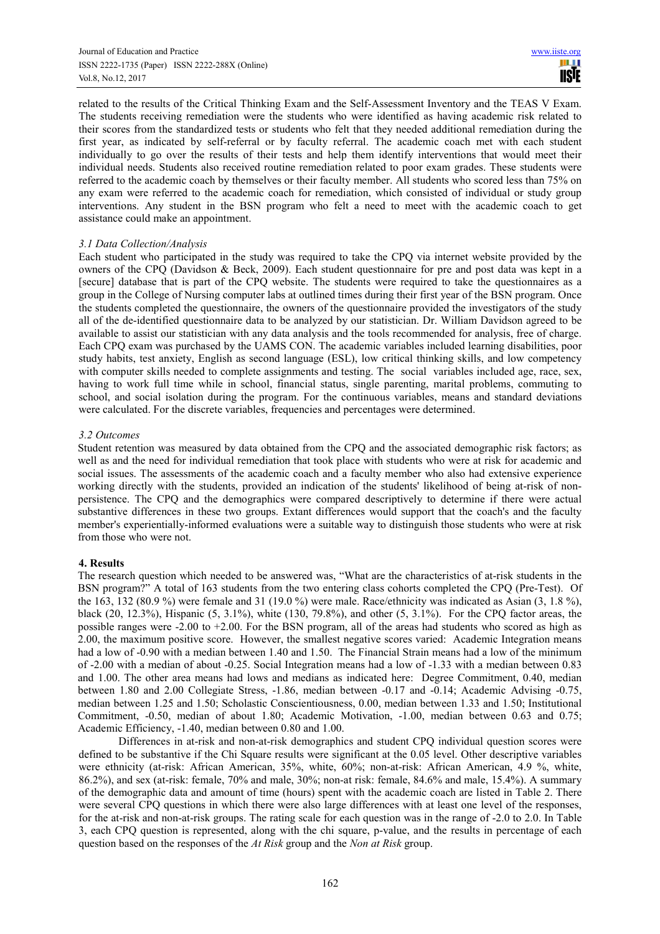related to the results of the Critical Thinking Exam and the Self-Assessment Inventory and the TEAS V Exam. The students receiving remediation were the students who were identified as having academic risk related to their scores from the standardized tests or students who felt that they needed additional remediation during the first year, as indicated by self-referral or by faculty referral. The academic coach met with each student individually to go over the results of their tests and help them identify interventions that would meet their individual needs. Students also received routine remediation related to poor exam grades. These students were referred to the academic coach by themselves or their faculty member. All students who scored less than 75% on any exam were referred to the academic coach for remediation, which consisted of individual or study group interventions. Any student in the BSN program who felt a need to meet with the academic coach to get assistance could make an appointment.

## *3.1 Data Collection/Analysis*

Each student who participated in the study was required to take the CPQ via internet website provided by the owners of the CPQ (Davidson & Beck, 2009). Each student questionnaire for pre and post data was kept in a [secure] database that is part of the CPQ website. The students were required to take the questionnaires as a group in the College of Nursing computer labs at outlined times during their first year of the BSN program. Once the students completed the questionnaire, the owners of the questionnaire provided the investigators of the study all of the de-identified questionnaire data to be analyzed by our statistician. Dr. William Davidson agreed to be available to assist our statistician with any data analysis and the tools recommended for analysis, free of charge. Each CPQ exam was purchased by the UAMS CON. The academic variables included learning disabilities, poor study habits, test anxiety, English as second language (ESL), low critical thinking skills, and low competency with computer skills needed to complete assignments and testing. The social variables included age, race, sex, having to work full time while in school, financial status, single parenting, marital problems, commuting to school, and social isolation during the program. For the continuous variables, means and standard deviations were calculated. For the discrete variables, frequencies and percentages were determined.

## *3.2 Outcomes*

Student retention was measured by data obtained from the CPQ and the associated demographic risk factors; as well as and the need for individual remediation that took place with students who were at risk for academic and social issues. The assessments of the academic coach and a faculty member who also had extensive experience working directly with the students, provided an indication of the students' likelihood of being at-risk of nonpersistence. The CPQ and the demographics were compared descriptively to determine if there were actual substantive differences in these two groups. Extant differences would support that the coach's and the faculty member's experientially-informed evaluations were a suitable way to distinguish those students who were at risk from those who were not.

# **4. Results**

The research question which needed to be answered was, "What are the characteristics of at-risk students in the BSN program?" A total of 163 students from the two entering class cohorts completed the CPQ (Pre-Test). Of the 163, 132 (80.9 %) were female and 31 (19.0 %) were male. Race/ethnicity was indicated as Asian (3, 1.8 %), black (20, 12.3%), Hispanic (5, 3.1%), white (130, 79.8%), and other (5, 3.1%). For the CPQ factor areas, the possible ranges were -2.00 to +2.00. For the BSN program, all of the areas had students who scored as high as 2.00, the maximum positive score. However, the smallest negative scores varied: Academic Integration means had a low of -0.90 with a median between 1.40 and 1.50. The Financial Strain means had a low of the minimum of -2.00 with a median of about -0.25. Social Integration means had a low of -1.33 with a median between 0.83 and 1.00. The other area means had lows and medians as indicated here: Degree Commitment, 0.40, median between 1.80 and 2.00 Collegiate Stress, -1.86, median between -0.17 and -0.14; Academic Advising -0.75, median between 1.25 and 1.50; Scholastic Conscientiousness, 0.00, median between 1.33 and 1.50; Institutional Commitment, -0.50, median of about 1.80; Academic Motivation, -1.00, median between 0.63 and 0.75; Academic Efficiency, -1.40, median between 0.80 and 1.00.

Differences in at-risk and non-at-risk demographics and student CPQ individual question scores were defined to be substantive if the Chi Square results were significant at the 0.05 level. Other descriptive variables were ethnicity (at-risk: African American, 35%, white, 60%; non-at-risk: African American, 4.9 %, white, 86.2%), and sex (at-risk: female, 70% and male, 30%; non-at risk: female, 84.6% and male, 15.4%). A summary of the demographic data and amount of time (hours) spent with the academic coach are listed in Table 2. There were several CPQ questions in which there were also large differences with at least one level of the responses, for the at-risk and non-at-risk groups. The rating scale for each question was in the range of -2.0 to 2.0. In Table 3, each CPQ question is represented, along with the chi square, p-value, and the results in percentage of each question based on the responses of the *At Risk* group and the *Non at Risk* group.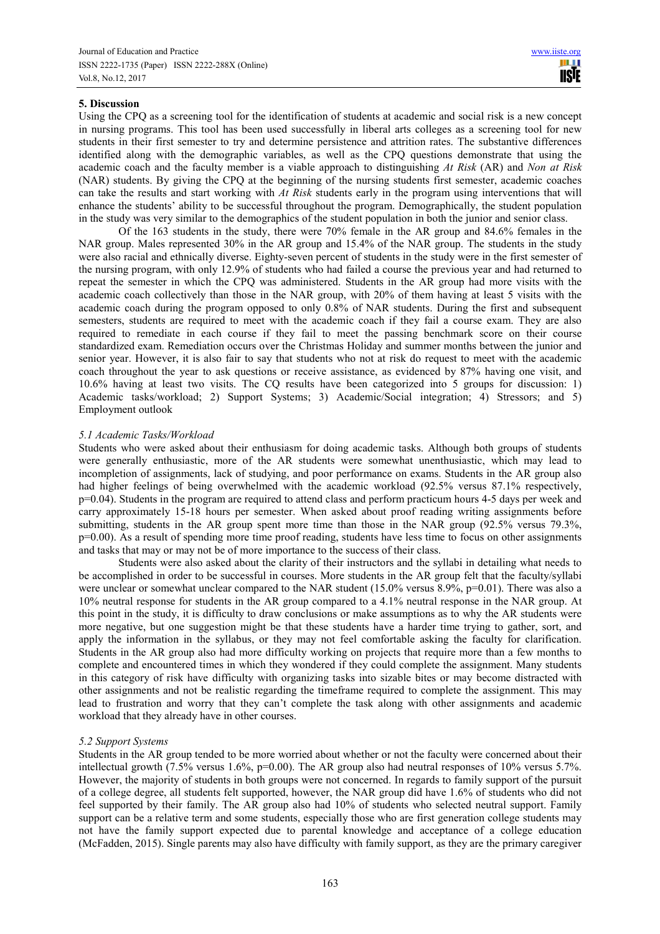# **5. Discussion**

Using the CPQ as a screening tool for the identification of students at academic and social risk is a new concept in nursing programs. This tool has been used successfully in liberal arts colleges as a screening tool for new students in their first semester to try and determine persistence and attrition rates. The substantive differences identified along with the demographic variables, as well as the CPQ questions demonstrate that using the academic coach and the faculty member is a viable approach to distinguishing *At Risk* (AR) and *Non at Risk* (NAR) students. By giving the CPQ at the beginning of the nursing students first semester, academic coaches can take the results and start working with *At Risk* students early in the program using interventions that will enhance the students' ability to be successful throughout the program. Demographically, the student population in the study was very similar to the demographics of the student population in both the junior and senior class.

 Of the 163 students in the study, there were 70% female in the AR group and 84.6% females in the NAR group. Males represented 30% in the AR group and 15.4% of the NAR group. The students in the study were also racial and ethnically diverse. Eighty-seven percent of students in the study were in the first semester of the nursing program, with only 12.9% of students who had failed a course the previous year and had returned to repeat the semester in which the CPQ was administered. Students in the AR group had more visits with the academic coach collectively than those in the NAR group, with 20% of them having at least 5 visits with the academic coach during the program opposed to only 0.8% of NAR students. During the first and subsequent semesters, students are required to meet with the academic coach if they fail a course exam. They are also required to remediate in each course if they fail to meet the passing benchmark score on their course standardized exam. Remediation occurs over the Christmas Holiday and summer months between the junior and senior year. However, it is also fair to say that students who not at risk do request to meet with the academic coach throughout the year to ask questions or receive assistance, as evidenced by 87% having one visit, and 10.6% having at least two visits. The CQ results have been categorized into 5 groups for discussion: 1) Academic tasks/workload; 2) Support Systems; 3) Academic/Social integration; 4) Stressors; and 5) Employment outlook

## *5.1 Academic Tasks/Workload*

Students who were asked about their enthusiasm for doing academic tasks. Although both groups of students were generally enthusiastic, more of the AR students were somewhat unenthusiastic, which may lead to incompletion of assignments, lack of studying, and poor performance on exams. Students in the AR group also had higher feelings of being overwhelmed with the academic workload (92.5% versus 87.1% respectively, p=0.04). Students in the program are required to attend class and perform practicum hours 4-5 days per week and carry approximately 15-18 hours per semester. When asked about proof reading writing assignments before submitting, students in the AR group spent more time than those in the NAR group (92.5% versus 79.3%,  $p=0.00$ ). As a result of spending more time proof reading, students have less time to focus on other assignments and tasks that may or may not be of more importance to the success of their class.

 Students were also asked about the clarity of their instructors and the syllabi in detailing what needs to be accomplished in order to be successful in courses. More students in the AR group felt that the faculty/syllabi were unclear or somewhat unclear compared to the NAR student (15.0% versus 8.9%, p=0.01). There was also a 10% neutral response for students in the AR group compared to a 4.1% neutral response in the NAR group. At this point in the study, it is difficulty to draw conclusions or make assumptions as to why the AR students were more negative, but one suggestion might be that these students have a harder time trying to gather, sort, and apply the information in the syllabus, or they may not feel comfortable asking the faculty for clarification. Students in the AR group also had more difficulty working on projects that require more than a few months to complete and encountered times in which they wondered if they could complete the assignment. Many students in this category of risk have difficulty with organizing tasks into sizable bites or may become distracted with other assignments and not be realistic regarding the timeframe required to complete the assignment. This may lead to frustration and worry that they can't complete the task along with other assignments and academic workload that they already have in other courses.

# *5.2 Support Systems*

Students in the AR group tended to be more worried about whether or not the faculty were concerned about their intellectual growth (7.5% versus 1.6%, p=0.00). The AR group also had neutral responses of 10% versus 5.7%. However, the majority of students in both groups were not concerned. In regards to family support of the pursuit of a college degree, all students felt supported, however, the NAR group did have 1.6% of students who did not feel supported by their family. The AR group also had 10% of students who selected neutral support. Family support can be a relative term and some students, especially those who are first generation college students may not have the family support expected due to parental knowledge and acceptance of a college education (McFadden, 2015). Single parents may also have difficulty with family support, as they are the primary caregiver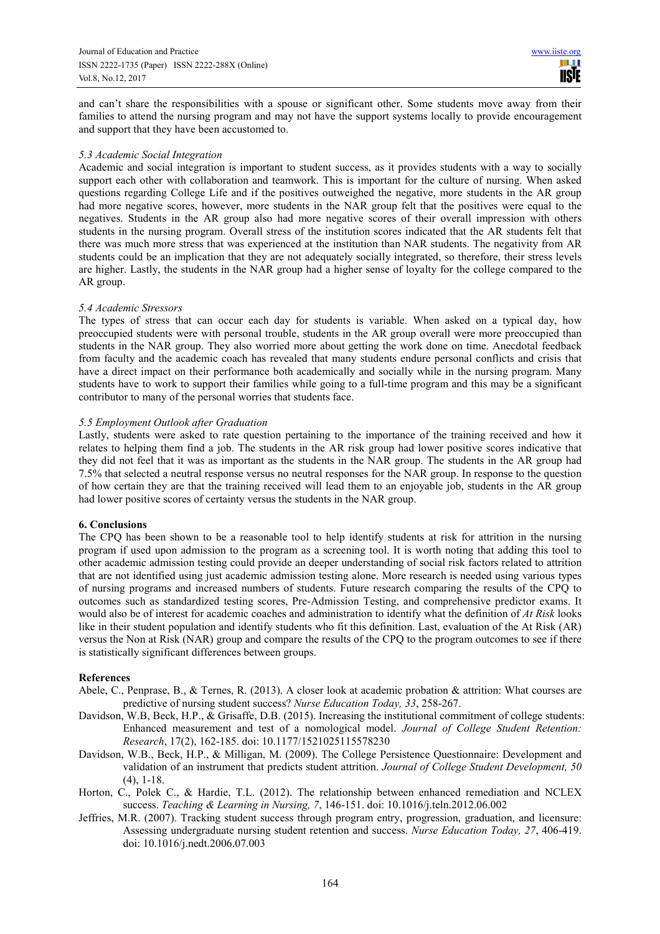and can't share the responsibilities with a spouse or significant other. Some students move away from their families to attend the nursing program and may not have the support systems locally to provide encouragement and support that they have been accustomed to.

## *5.3 Academic Social Integration*

Academic and social integration is important to student success, as it provides students with a way to socially support each other with collaboration and teamwork. This is important for the culture of nursing. When asked questions regarding College Life and if the positives outweighed the negative, more students in the AR group had more negative scores, however, more students in the NAR group felt that the positives were equal to the negatives. Students in the AR group also had more negative scores of their overall impression with others students in the nursing program. Overall stress of the institution scores indicated that the AR students felt that there was much more stress that was experienced at the institution than NAR students. The negativity from AR students could be an implication that they are not adequately socially integrated, so therefore, their stress levels are higher. Lastly, the students in the NAR group had a higher sense of loyalty for the college compared to the AR group.

## *5.4 Academic Stressors*

The types of stress that can occur each day for students is variable. When asked on a typical day, how preoccupied students were with personal trouble, students in the AR group overall were more preoccupied than students in the NAR group. They also worried more about getting the work done on time. Anecdotal feedback from faculty and the academic coach has revealed that many students endure personal conflicts and crisis that have a direct impact on their performance both academically and socially while in the nursing program. Many students have to work to support their families while going to a full-time program and this may be a significant contributor to many of the personal worries that students face.

## *5.5 Employment Outlook after Graduation*

Lastly, students were asked to rate question pertaining to the importance of the training received and how it relates to helping them find a job. The students in the AR risk group had lower positive scores indicative that they did not feel that it was as important as the students in the NAR group. The students in the AR group had 7.5% that selected a neutral response versus no neutral responses for the NAR group. In response to the question of how certain they are that the training received will lead them to an enjoyable job, students in the AR group had lower positive scores of certainty versus the students in the NAR group.

# **6. Conclusions**

The CPQ has been shown to be a reasonable tool to help identify students at risk for attrition in the nursing program if used upon admission to the program as a screening tool. It is worth noting that adding this tool to other academic admission testing could provide an deeper understanding of social risk factors related to attrition that are not identified using just academic admission testing alone. More research is needed using various types of nursing programs and increased numbers of students. Future research comparing the results of the CPQ to outcomes such as standardized testing scores, Pre-Admission Testing, and comprehensive predictor exams. It would also be of interest for academic coaches and administration to identify what the definition of *At Risk* looks like in their student population and identify students who fit this definition. Last, evaluation of the At Risk (AR) versus the Non at Risk (NAR) group and compare the results of the CPQ to the program outcomes to see if there is statistically significant differences between groups.

#### **References**

- Abele, C., Penprase, B., & Ternes, R. (2013). A closer look at academic probation & attrition: What courses are predictive of nursing student success? *Nurse Education Today, 33*, 258-267.
- Davidson, W.B, Beck, H.P., & Grisaffe, D.B. (2015). Increasing the institutional commitment of college students: Enhanced measurement and test of a nomological model. *Journal of College Student Retention: Research*, 17(2), 162-185. doi: 10.1177/1521025115578230
- Davidson, W.B., Beck, H.P., & Milligan, M. (2009). The College Persistence Questionnaire: Development and validation of an instrument that predicts student attrition. *Journal of College Student Development, 50* (4), 1-18.
- Horton, C., Polek C., & Hardie, T.L. (2012). The relationship between enhanced remediation and NCLEX success. *Teaching & Learning in Nursing, 7*, 146-151. doi: 10.1016/j.teln.2012.06.002
- Jeffries, M.R. (2007). Tracking student success through program entry, progression, graduation, and licensure: Assessing undergraduate nursing student retention and success. *Nurse Education Today, 27*, 406-419. doi: 10.1016/j.nedt.2006.07.003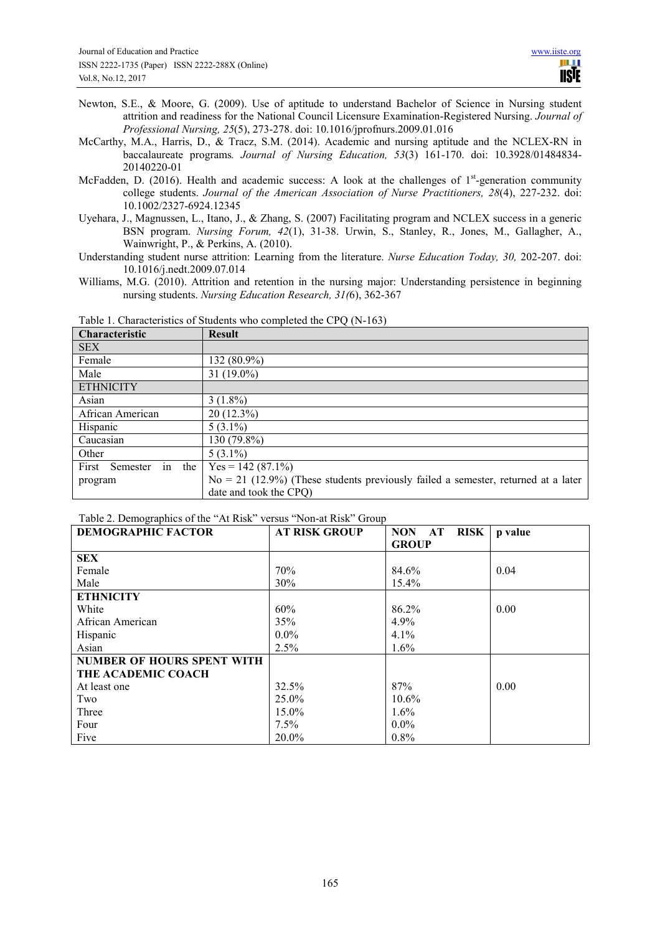- Newton, S.E., & Moore, G. (2009). Use of aptitude to understand Bachelor of Science in Nursing student attrition and readiness for the National Council Licensure Examination-Registered Nursing. *Journal of Professional Nursing, 25*(5), 273-278. doi: 10.1016/jprofnurs.2009.01.016
- McCarthy, M.A., Harris, D., & Tracz, S.M. (2014). Academic and nursing aptitude and the NCLEX-RN in baccalaureate programs*. Journal of Nursing Education, 53*(3) 161-170. doi: 10.3928/01484834- 20140220-01
- McFadden, D. (2016). Health and academic success: A look at the challenges of  $1<sup>st</sup>$ -generation community college students. *Journal of the American Association of Nurse Practitioners, 28*(4), 227-232. doi: 10.1002/2327-6924.12345
- Uyehara, J., Magnussen, L., Itano, J., & Zhang, S. (2007) Facilitating program and NCLEX success in a generic BSN program. *Nursing Forum, 42*(1), 31-38. Urwin, S., Stanley, R., Jones, M., Gallagher, A., Wainwright, P., & Perkins, A. (2010).
- Understanding student nurse attrition: Learning from the literature. *Nurse Education Today, 30,* 202-207. doi: 10.1016/j.nedt.2009.07.014
- Williams, M.G. (2010). Attrition and retention in the nursing major: Understanding persistence in beginning nursing students. *Nursing Education Research, 31(*6), 362-367

| <b>Characteristic</b>       | <b>Result</b>                                                                       |
|-----------------------------|-------------------------------------------------------------------------------------|
| <b>SEX</b>                  |                                                                                     |
| Female                      | 132 (80.9%)                                                                         |
| Male                        | 31 $(19.0\%)$                                                                       |
| <b>ETHNICITY</b>            |                                                                                     |
| Asian                       | $3(1.8\%)$                                                                          |
| African American            | $20(12.3\%)$                                                                        |
| Hispanic                    | $5(3.1\%)$                                                                          |
| Caucasian                   | $130(79.8\%)$                                                                       |
| Other                       | $5(3.1\%)$                                                                          |
| in the<br>First<br>Semester | $Yes = 142 (87.1\%)$                                                                |
| program                     | $No = 21$ (12.9%) (These students previously failed a semester, returned at a later |
|                             | date and took the CPQ)                                                              |

Table 1. Characteristics of Students who completed the CPQ (N-163)

| Table 2. Demographics of the "At Risk" versus "Non-at Risk" Group |  |  |
|-------------------------------------------------------------------|--|--|
|-------------------------------------------------------------------|--|--|

| <b>DEMOGRAPHIC FACTOR</b>         | <b>AT RISK GROUP</b> | <b>RISK</b><br><b>NON</b><br>$\bf AT$ | p value |
|-----------------------------------|----------------------|---------------------------------------|---------|
|                                   |                      | <b>GROUP</b>                          |         |
| <b>SEX</b>                        |                      |                                       |         |
| Female                            | 70%                  | 84.6%                                 | 0.04    |
| Male                              | 30%                  | 15.4%                                 |         |
| <b>ETHNICITY</b>                  |                      |                                       |         |
| White                             | 60%                  | 86.2%                                 | 0.00    |
| African American                  | 35%                  | 4.9%                                  |         |
| Hispanic                          | $0.0\%$              | 4.1%                                  |         |
| Asian                             | 2.5%                 | $1.6\%$                               |         |
| <b>NUMBER OF HOURS SPENT WITH</b> |                      |                                       |         |
| THE ACADEMIC COACH                |                      |                                       |         |
| At least one                      | 32.5%                | 87%                                   | 0.00    |
| Two                               | 25.0%                | 10.6%                                 |         |
| Three                             | 15.0%                | $1.6\%$                               |         |
| Four                              | 7.5%                 | $0.0\%$                               |         |
| Five                              | 20.0%                | 0.8%                                  |         |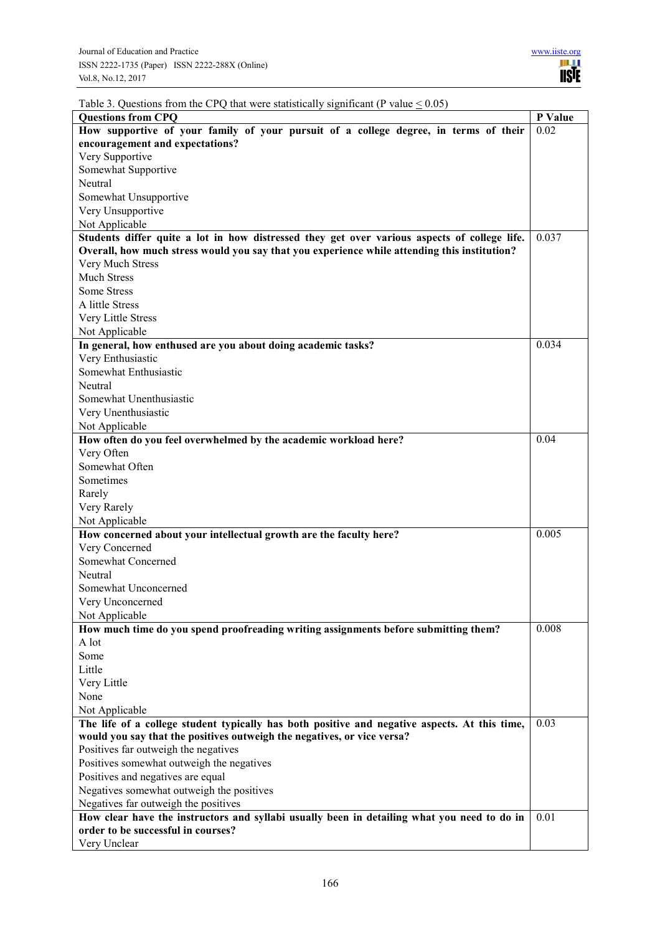|  |  | Table 3. Questions from the CPQ that were statistically significant (P value $\leq 0.05$ ) |  |  |
|--|--|--------------------------------------------------------------------------------------------|--|--|
|  |  |                                                                                            |  |  |

| radic $\sigma$ . Questions from the Cr Q that were statistically significant (1) value $\sim 0.05$<br><b>Questions from CPQ</b> | P Value |
|---------------------------------------------------------------------------------------------------------------------------------|---------|
| How supportive of your family of your pursuit of a college degree, in terms of their                                            | 0.02    |
| encouragement and expectations?                                                                                                 |         |
| Very Supportive                                                                                                                 |         |
| Somewhat Supportive                                                                                                             |         |
| Neutral                                                                                                                         |         |
| Somewhat Unsupportive                                                                                                           |         |
| Very Unsupportive                                                                                                               |         |
|                                                                                                                                 |         |
| Not Applicable<br>Students differ quite a lot in how distressed they get over various aspects of college life.                  | 0.037   |
| Overall, how much stress would you say that you experience while attending this institution?                                    |         |
| Very Much Stress                                                                                                                |         |
| <b>Much Stress</b>                                                                                                              |         |
| Some Stress                                                                                                                     |         |
| A little Stress                                                                                                                 |         |
|                                                                                                                                 |         |
| Very Little Stress                                                                                                              |         |
| Not Applicable                                                                                                                  | 0.034   |
| In general, how enthused are you about doing academic tasks?                                                                    |         |
| Very Enthusiastic                                                                                                               |         |
| Somewhat Enthusiastic                                                                                                           |         |
| Neutral                                                                                                                         |         |
| Somewhat Unenthusiastic                                                                                                         |         |
| Very Unenthusiastic                                                                                                             |         |
| Not Applicable                                                                                                                  |         |
| How often do you feel overwhelmed by the academic workload here?                                                                | 0.04    |
| Very Often                                                                                                                      |         |
| Somewhat Often                                                                                                                  |         |
| Sometimes                                                                                                                       |         |
| Rarely                                                                                                                          |         |
| Very Rarely                                                                                                                     |         |
| Not Applicable                                                                                                                  |         |
| How concerned about your intellectual growth are the faculty here?                                                              | 0.005   |
| Very Concerned                                                                                                                  |         |
| Somewhat Concerned                                                                                                              |         |
| Neutral                                                                                                                         |         |
| Somewhat Unconcerned                                                                                                            |         |
| Very Unconcerned                                                                                                                |         |
| Not Applicable                                                                                                                  |         |
| How much time do you spend proofreading writing assignments before submitting them?                                             | 0.008   |
| A lot                                                                                                                           |         |
| Some                                                                                                                            |         |
| Little                                                                                                                          |         |
| Very Little                                                                                                                     |         |
| None                                                                                                                            |         |
| Not Applicable                                                                                                                  |         |
| The life of a college student typically has both positive and negative aspects. At this time,                                   | 0.03    |
| would you say that the positives outweigh the negatives, or vice versa?                                                         |         |
| Positives far outweigh the negatives                                                                                            |         |
| Positives somewhat outweigh the negatives                                                                                       |         |
| Positives and negatives are equal                                                                                               |         |
| Negatives somewhat outweigh the positives                                                                                       |         |
| Negatives far outweigh the positives                                                                                            |         |
| How clear have the instructors and syllabi usually been in detailing what you need to do in                                     | 0.01    |
| order to be successful in courses?                                                                                              |         |
| Very Unclear                                                                                                                    |         |